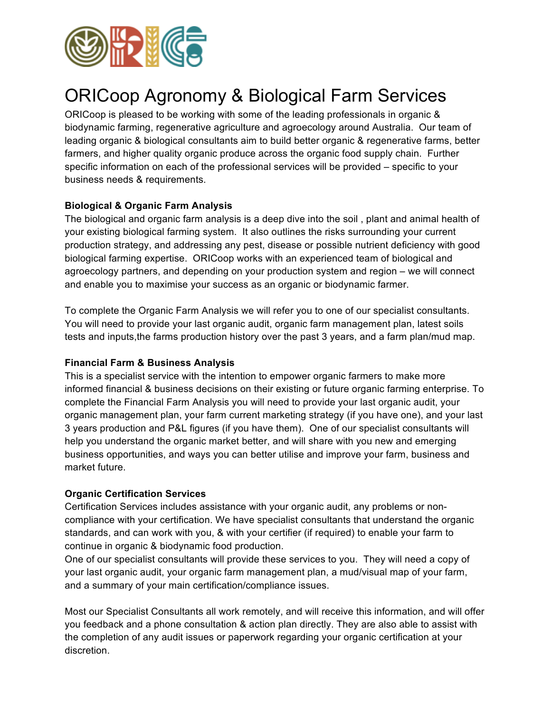

# ORICoop Agronomy & Biological Farm Services

ORICoop is pleased to be working with some of the leading professionals in organic & biodynamic farming, regenerative agriculture and agroecology around Australia. Our team of leading organic & biological consultants aim to build better organic & regenerative farms, better farmers, and higher quality organic produce across the organic food supply chain. Further specific information on each of the professional services will be provided – specific to your business needs & requirements.

## **Biological & Organic Farm Analysis**

The biological and organic farm analysis is a deep dive into the soil , plant and animal health of your existing biological farming system. It also outlines the risks surrounding your current production strategy, and addressing any pest, disease or possible nutrient deficiency with good biological farming expertise. ORICoop works with an experienced team of biological and agroecology partners, and depending on your production system and region – we will connect and enable you to maximise your success as an organic or biodynamic farmer.

To complete the Organic Farm Analysis we will refer you to one of our specialist consultants. You will need to provide your last organic audit, organic farm management plan, latest soils tests and inputs,the farms production history over the past 3 years, and a farm plan/mud map.

### **Financial Farm & Business Analysis**

This is a specialist service with the intention to empower organic farmers to make more informed financial & business decisions on their existing or future organic farming enterprise. To complete the Financial Farm Analysis you will need to provide your last organic audit, your organic management plan, your farm current marketing strategy (if you have one), and your last 3 years production and P&L figures (if you have them). One of our specialist consultants will help you understand the organic market better, and will share with you new and emerging business opportunities, and ways you can better utilise and improve your farm, business and market future.

### **Organic Certification Services**

Certification Services includes assistance with your organic audit, any problems or noncompliance with your certification. We have specialist consultants that understand the organic standards, and can work with you, & with your certifier (if required) to enable your farm to continue in organic & biodynamic food production.

One of our specialist consultants will provide these services to you. They will need a copy of your last organic audit, your organic farm management plan, a mud/visual map of your farm, and a summary of your main certification/compliance issues.

Most our Specialist Consultants all work remotely, and will receive this information, and will offer you feedback and a phone consultation & action plan directly. They are also able to assist with the completion of any audit issues or paperwork regarding your organic certification at your discretion.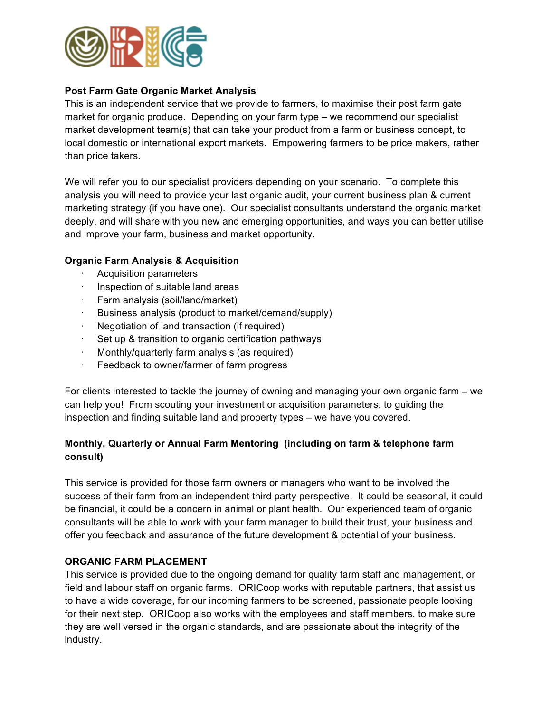

## **Post Farm Gate Organic Market Analysis**

This is an independent service that we provide to farmers, to maximise their post farm gate market for organic produce. Depending on your farm type – we recommend our specialist market development team(s) that can take your product from a farm or business concept, to local domestic or international export markets. Empowering farmers to be price makers, rather than price takers.

We will refer you to our specialist providers depending on your scenario. To complete this analysis you will need to provide your last organic audit, your current business plan & current marketing strategy (if you have one). Our specialist consultants understand the organic market deeply, and will share with you new and emerging opportunities, and ways you can better utilise and improve your farm, business and market opportunity.

### **Organic Farm Analysis & Acquisition**

- Acquisition parameters
- Inspection of suitable land areas
- · Farm analysis (soil/land/market)
- · Business analysis (product to market/demand/supply)
- Negotiation of land transaction (if required)
- · Set up & transition to organic certification pathways
- Monthly/quarterly farm analysis (as required)
- · Feedback to owner/farmer of farm progress

For clients interested to tackle the journey of owning and managing your own organic farm – we can help you! From scouting your investment or acquisition parameters, to guiding the inspection and finding suitable land and property types – we have you covered.

## **Monthly, Quarterly or Annual Farm Mentoring (including on farm & telephone farm consult)**

This service is provided for those farm owners or managers who want to be involved the success of their farm from an independent third party perspective. It could be seasonal, it could be financial, it could be a concern in animal or plant health. Our experienced team of organic consultants will be able to work with your farm manager to build their trust, your business and offer you feedback and assurance of the future development & potential of your business.

### **ORGANIC FARM PLACEMENT**

This service is provided due to the ongoing demand for quality farm staff and management, or field and labour staff on organic farms. ORICoop works with reputable partners, that assist us to have a wide coverage, for our incoming farmers to be screened, passionate people looking for their next step. ORICoop also works with the employees and staff members, to make sure they are well versed in the organic standards, and are passionate about the integrity of the industry.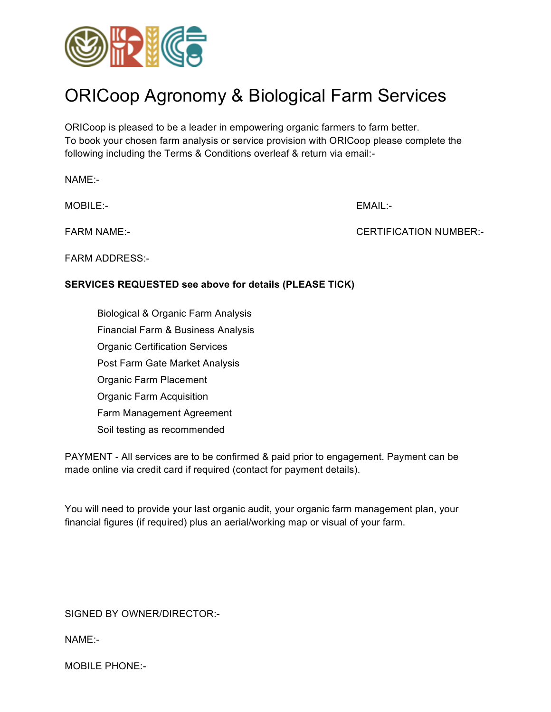

# ORICoop Agronomy & Biological Farm Services

ORICoop is pleased to be a leader in empowering organic farmers to farm better. To book your chosen farm analysis or service provision with ORICoop please complete the following including the Terms & Conditions overleaf & return via email:-

NAME:-

MOBILE:- EMAIL:-

FARM NAME:- CERTIFICATION NUMBER:-

FARM ADDRESS:-

## **SERVICES REQUESTED see above for details (PLEASE TICK)**

 Biological & Organic Farm Analysis Financial Farm & Business Analysis Organic Certification Services Post Farm Gate Market Analysis Organic Farm Placement Organic Farm Acquisition Farm Management Agreement Soil testing as recommended

PAYMENT - All services are to be confirmed & paid prior to engagement. Payment can be made online via credit card if required (contact for payment details).

You will need to provide your last organic audit, your organic farm management plan, your financial figures (if required) plus an aerial/working map or visual of your farm.

SIGNED BY OWNER/DIRECTOR:-

NAME:-

MOBILE PHONE:-